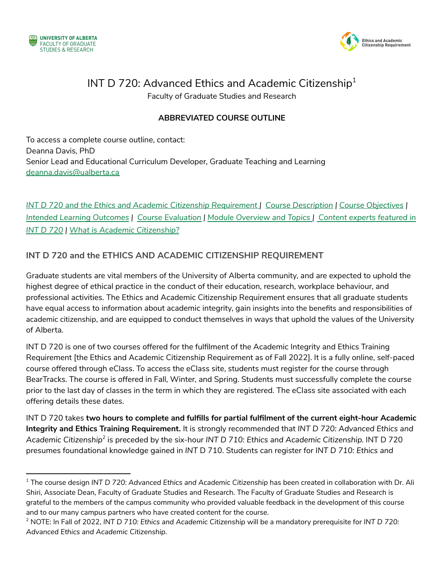



# INT D 720: Advanced Ethics and Academic Citizenship $^{\rm 1}$

Faculty of Graduate Studies and Research

#### **ABBREVIATED COURSE OUTLINE**

To access a complete course outline, contact: Deanna Davis, PhD Senior Lead and Educational Curriculum Developer, Graduate Teaching and Learning [deanna.davis@ualberta.ca](mailto:deanna.davis@ualberta.ca)

*INT D 720 and the Ethics and Academic Citizenship [Requirement](#page-0-0) | Course [Description](#page-1-0) | Course [Objectives](#page-1-1) | Intended Learning [Outcomes](#page-1-2) | Course [Evaluation](#page-1-3) | Module [Overview](#page-2-0) and Topics | Content experts [featured](#page-3-0) in INT D [720](#page-3-0) | What is Academic [Citizenship?](#page-3-1)*

#### <span id="page-0-0"></span>**INT D 720 and the ETHICS AND ACADEMIC CITIZENSHIP REQUIREMENT**

Graduate students are vital members of the University of Alberta community, and are expected to uphold the highest degree of ethical practice in the conduct of their education, research, workplace behaviour, and professional activities. The Ethics and Academic Citizenship Requirement ensures that all graduate students have equal access to information about academic integrity, gain insights into the benefits and responsibilities of academic citizenship, and are equipped to conduct themselves in ways that uphold the values of the [University](https://www.ualberta.ca/strategic-plan/overview/our-vision-mission-and-values.html) of [Alberta](https://www.ualberta.ca/strategic-plan/overview/our-vision-mission-and-values.html).

INT D 720 is one of two courses offered for the fulfilment of the Academic Integrity and Ethics Training Requirement [the Ethics and Academic Citizenship Requirement as of Fall 2022]. It is a fully online, self-paced course offered through eClass. To access the eClass site, students must register for the course through BearTracks. The course is offered in Fall, Winter, and Spring. Students must successfully complete the course prior to the last day of classes in the term in which they are registered. The eClass site associated with each offering details these dates.

INT D 720 takes **two hours to complete and fulfills for partial fulfilment of the current eight-hour Academic Integrity and Ethics Training Requirement.** It is strongly recommended that *INT D 720: Advanced Ethics and Academic Citizenship 2* is preceded by the six-hour *INT D 710: Ethics and Academic Citizenship.* INT D 720 presumes foundational knowledge gained in *INT* D 710. Students can register for *INT D 710: Ethics and*

<sup>1</sup> The course design *INT D 720: Advanced Ethics and Academic Citizenship* has been created in collaboration with Dr. Ali Shiri, Associate Dean, Faculty of Graduate Studies and Research. The Faculty of Graduate Studies and Research is grateful to the members of the campus community who provided valuable feedback in the development of this course and to our many campus partners who have created content for the course.

<sup>2</sup> NOTE: In Fall of 2022, *INT D 710: Ethics and Academic Citizenship* will be a mandatory prerequisite for *INT D 720: Advanced Ethics and Academic Citizenship*.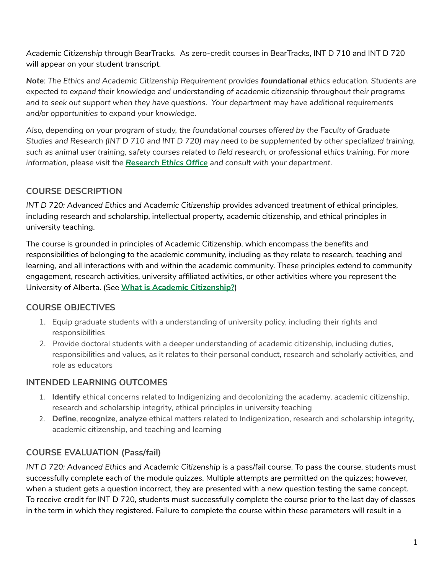*Academic Citizenship* through BearTracks. As zero-credit courses in BearTracks, INT D 710 and INT D 720 will appear on your student transcript.

*Note: The Ethics and Academic Citizenship Requirement provides foundational ethics education. Students are expected to expand their knowledge and understanding of academic citizenship throughout their programs and to seek out support when they have questions. Your department may have additional requirements and/or opportunities to expand your knowledge.*

*Also, depending on your program of study, the foundational courses offered by the Faculty of Graduate* Studies and Research (INT D 710 and INT D 720) may need to be supplemented by other specialized training, such as animal user training, safety courses related to field research, or professional ethics training. For more *information, please visit the [Research](https://www.ualberta.ca/research/research-support/research-ethics-office/index.html) Ethics Office and consult with your department.*

### <span id="page-1-0"></span>**COURSE DESCRIPTION**

*INT D 720: Advanced Ethics and Academic Citizenship* provides advanced treatment of ethical principles, including research and scholarship, intellectual property, academic citizenship, and ethical principles in university teaching.

The course is grounded in principles of Academic Citizenship, which encompass the benefits and responsibilities of belonging to the academic community, including as they relate to research, teaching and learning, and all interactions with and within the academic community. These principles extend to community engagement, research activities, university affiliated activities, or other activities where you represent the University of Alberta. (See **What is Academic [Citizenship?](#page-3-1)**)

## <span id="page-1-1"></span>**COURSE OBJECTIVES**

- 1. Equip graduate students with a understanding of university policy, including their rights and responsibilities
- 2. Provide doctoral students with a deeper understanding of academic citizenship, including duties, responsibilities and values, as it relates to their personal conduct, research and scholarly activities, and role as educators

## <span id="page-1-2"></span>**INTENDED LEARNING OUTCOMES**

- 1. **Identify** ethical concerns related to Indigenizing and decolonizing the academy, academic citizenship, research and scholarship integrity, ethical principles in university teaching
- 2. **Define**, **recognize**, **analyze** ethical matters related to Indigenization, research and scholarship integrity, academic citizenship, and teaching and learning

## <span id="page-1-3"></span>**COURSE EVALUATION (Pass/fail)**

*INT D 720: Advanced Ethics and Academic Citizenship* is a pass/fail course. To pass the course, students must successfully complete each of the module quizzes. Multiple attempts are permitted on the quizzes; however, when a student gets a question incorrect, they are presented with a new question testing the same concept. To receive credit for INT D 720, students must successfully complete the course prior to the last day of classes in the term in which they registered. Failure to complete the course within these parameters will result in a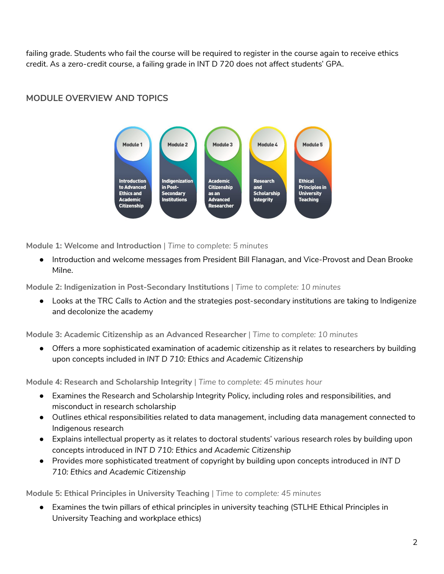failing grade. Students who fail the course will be required to register in the course again to receive ethics credit. As a zero-credit course, a failing grade in INT D 720 does not affect students' GPA.



## <span id="page-2-0"></span>**MODULE OVERVIEW AND TOPICS**

**Module 1: Welcome and Introduction** | *Time to complete: 5 minutes*

● Introduction and welcome messages from President Bill Flanagan, and Vice-Provost and Dean Brooke Milne.

**Module 2: Indigenization in Post-Secondary Institutions** | *Time to complete: 10 minutes*

● Looks at the TRC *Calls to Action* and the strategies post-secondary institutions are taking to Indigenize and decolonize the academy

**Module 3: Academic Citizenship as an Advanced Researcher** | *Time to complete: 10 minutes*

• Offers a more sophisticated examination of academic citizenship as it relates to researchers by building upon concepts included in *INT D 710: Ethics and Academic Citizenship*

**Module 4: Research and Scholarship Integrity** | *Time to complete: 45 minutes hour*

- Examines the Research and Scholarship Integrity Policy, including roles and responsibilities, and misconduct in research scholarship
- Outlines ethical responsibilities related to data management, including data management connected to Indigenous research
- Explains intellectual property as it relates to doctoral students' various research roles by building upon concepts introduced in *INT D 710: Ethics and Academic Citizenship*
- Provides more sophisticated treatment of copyright by building upon concepts introduced in *INT D 710: Ethics and Academic Citizenship*

**Module 5: Ethical Principles in University Teaching** | *Time to complete: 45 minutes*

● Examines the twin pillars of ethical principles in university teaching (STLHE Ethical Principles in University Teaching and workplace ethics)